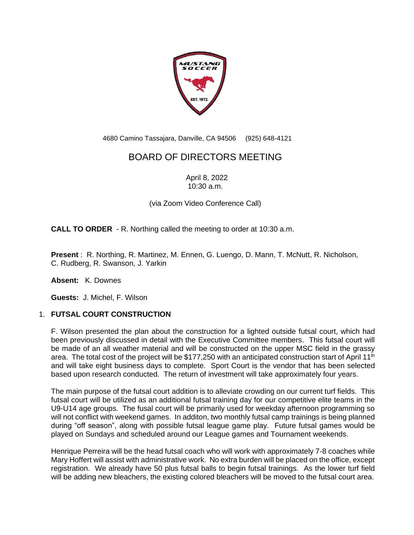

4680 Camino Tassajara, Danville, CA 94506 (925) 648-4121

## BOARD OF DIRECTORS MEETING

April 8, 2022 10:30 a.m.

(via Zoom Video Conference Call)

**CALL TO ORDER** - R. Northing called the meeting to order at 10:30 a.m.

**Present** : R. Northing, R. Martinez, M. Ennen, G. Luengo, D. Mann, T. McNutt, R. Nicholson, C. Rudberg, R. Swanson, J. Yarkin

**Absent:** K. Downes

**Guests:** J. Michel, F. Wilson

## 1. **FUTSAL COURT CONSTRUCTION**

F. Wilson presented the plan about the construction for a lighted outside futsal court, which had been previously discussed in detail with the Executive Committee members. This futsal court will be made of an all weather material and will be constructed on the upper MSC field in the grassy area. The total cost of the project will be \$177,250 with an anticipated construction start of April 11<sup>th</sup> and will take eight business days to complete. Sport Court is the vendor that has been selected based upon research conducted. The return of investment will take approximately four years.

The main purpose of the futsal court addition is to alleviate crowding on our current turf fields. This futsal court will be utilized as an additional futsal training day for our competitive elite teams in the U9-U14 age groups. The fusal court will be primarily used for weekday afternoon programming so will not conflict with weekend games. In additon, two monthly futsal camp trainings is being planned during "off season", along with possible futsal league game play. Future futsal games would be played on Sundays and scheduled around our League games and Tournament weekends.

Henrique Perreira will be the head futsal coach who will work with approximately 7-8 coaches while Mary Hoffert will assist with administrative work. No extra burden will be placed on the office, except registration. We already have 50 plus futsal balls to begin futsal trainings. As the lower turf field will be adding new bleachers, the existing colored bleachers will be moved to the futsal court area.